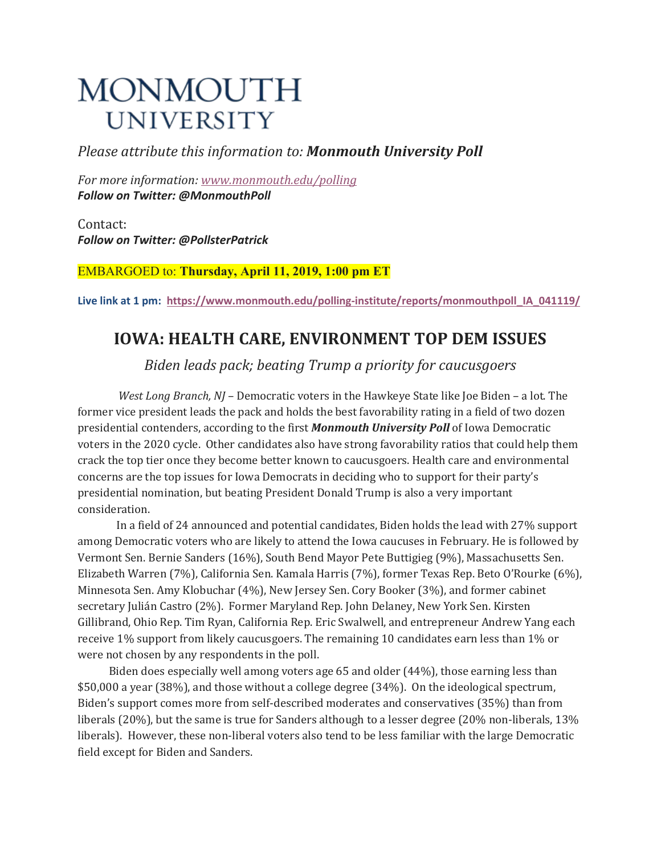# **MONMOUTH UNIVERSITY**

*Please attribute this information to: Monmouth University Poll*

*For more information: [www.monmouth.edu/polling](http://www.monmouth.edu/polling) Follow on Twitter: @MonmouthPoll*

Contact: *Follow on Twitter: @PollsterPatrick*

### EMBARGOED to: **Thursday, April 11, 2019, 1:00 pm ET**

**Live link at 1 pm: [https://www.monmouth.edu/polling-institute/reports/monmouthpoll\\_IA\\_041119/](https://www.monmouth.edu/polling-institute/reports/monmouthpoll_IA_041119/)**

## **IOWA: HEALTH CARE, ENVIRONMENT TOP DEM ISSUES**

*Biden leads pack; beating Trump a priority for caucusgoers*

 *West Long Branch, NJ* – Democratic voters in the Hawkeye State like Joe Biden – a lot. The former vice president leads the pack and holds the best favorability rating in a field of two dozen presidential contenders, according to the first *Monmouth University Poll* of Iowa Democratic voters in the 2020 cycle. Other candidates also have strong favorability ratios that could help them crack the top tier once they become better known to caucusgoers. Health care and environmental concerns are the top issues for Iowa Democrats in deciding who to support for their party's presidential nomination, but beating President Donald Trump is also a very important consideration.

In a field of 24 announced and potential candidates, Biden holds the lead with 27% support among Democratic voters who are likely to attend the Iowa caucuses in February. He is followed by Vermont Sen. Bernie Sanders (16%), South Bend Mayor Pete Buttigieg (9%), Massachusetts Sen. Elizabeth Warren (7%), California Sen. Kamala Harris (7%), former Texas Rep. Beto O'Rourke (6%), Minnesota Sen. Amy Klobuchar (4%), New Jersey Sen. Cory Booker (3%), and former cabinet secretary Julián Castro (2%). Former Maryland Rep. John Delaney, New York Sen. Kirsten Gillibrand, Ohio Rep. Tim Ryan, California Rep. Eric Swalwell, and entrepreneur Andrew Yang each receive 1% support from likely caucusgoers. The remaining 10 candidates earn less than 1% or were not chosen by any respondents in the poll.

 Biden does especially well among voters age 65 and older (44%), those earning less than \$50,000 a year (38%), and those without a college degree (34%). On the ideological spectrum, Biden's support comes more from self-described moderates and conservatives (35%) than from liberals (20%), but the same is true for Sanders although to a lesser degree (20% non-liberals, 13% liberals). However, these non-liberal voters also tend to be less familiar with the large Democratic field except for Biden and Sanders.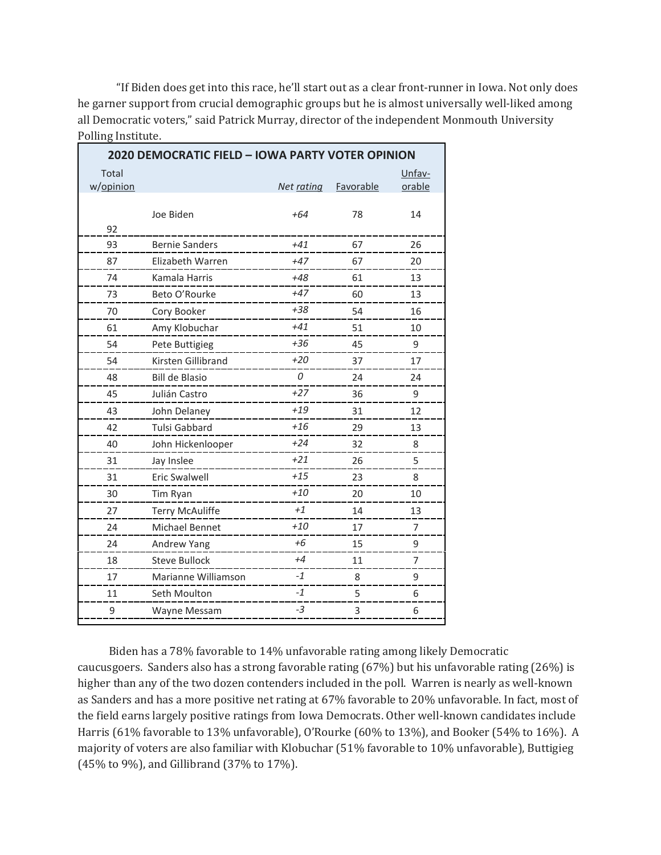"If Biden does get into this race, he'll start out as a clear front-runner in Iowa. Not only does he garner support from crucial demographic groups but he is almost universally well-liked among all Democratic voters," said Patrick Murray, director of the independent Monmouth University Polling Institute.

| Total<br>Unfav-<br>w/opinion<br>Net rating<br>Favorable<br>orable<br>Joe Biden<br>78<br>+64<br>14 |  |
|---------------------------------------------------------------------------------------------------|--|
|                                                                                                   |  |
|                                                                                                   |  |
|                                                                                                   |  |
|                                                                                                   |  |
| 92                                                                                                |  |
| <b>Bernie Sanders</b><br>$+41$<br>93<br>67<br>26                                                  |  |
| Elizabeth Warren<br>$+47$<br>87<br>67<br>20                                                       |  |
| Kamala Harris<br>$+48$<br>74<br>61<br>13                                                          |  |
| $+47$<br>Beto O'Rourke<br>60<br>13<br>73                                                          |  |
| $+38$<br>Cory Booker<br>54<br>16<br>70                                                            |  |
| $+41$<br>61<br>Amy Klobuchar<br>51<br>10                                                          |  |
| $+36$<br>54<br>9<br>Pete Buttigieg<br>45                                                          |  |
| $+20$<br>Kirsten Gillibrand<br>17<br>54<br>37                                                     |  |
| 0<br><b>Bill de Blasio</b><br>24<br>24<br>48                                                      |  |
| $+27$<br>45<br>Julián Castro<br>9<br>36                                                           |  |
| $+19$<br>31<br>12<br>43<br>John Delaney                                                           |  |
| $+16$<br>42<br>Tulsi Gabbard<br>29<br>13                                                          |  |
| $+24$<br>40<br>John Hickenlooper<br>32<br>8                                                       |  |
| $+21$<br>31<br>Jay Inslee<br>26<br>5                                                              |  |
| $+15$<br>31<br>Eric Swalwell<br>23<br>8                                                           |  |
| $+10$<br>20<br>30<br>Tim Ryan<br>10                                                               |  |
| $+1$<br><b>Terry McAuliffe</b><br>27<br>14<br>13                                                  |  |
| $+10$<br>Michael Bennet<br>7<br>24<br>17                                                          |  |
| +6<br>Andrew Yang<br>15<br>9<br>24                                                                |  |
| $+4$<br>18<br><b>Steve Bullock</b><br>11<br>7                                                     |  |
| $-1$<br>Marianne Williamson<br>9<br>17<br>8                                                       |  |
| $-1$<br>5<br>11<br>Seth Moulton<br>6                                                              |  |
| $-3$<br>9<br>Wayne Messam<br>3<br>6                                                               |  |

 Biden has a 78% favorable to 14% unfavorable rating among likely Democratic caucusgoers. Sanders also has a strong favorable rating (67%) but his unfavorable rating (26%) is higher than any of the two dozen contenders included in the poll. Warren is nearly as well-known as Sanders and has a more positive net rating at 67% favorable to 20% unfavorable. In fact, most of the field earns largely positive ratings from Iowa Democrats. Other well-known candidates include Harris (61% favorable to 13% unfavorable), O'Rourke (60% to 13%), and Booker (54% to 16%). A majority of voters are also familiar with Klobuchar (51% favorable to 10% unfavorable), Buttigieg (45% to 9%), and Gillibrand (37% to 17%).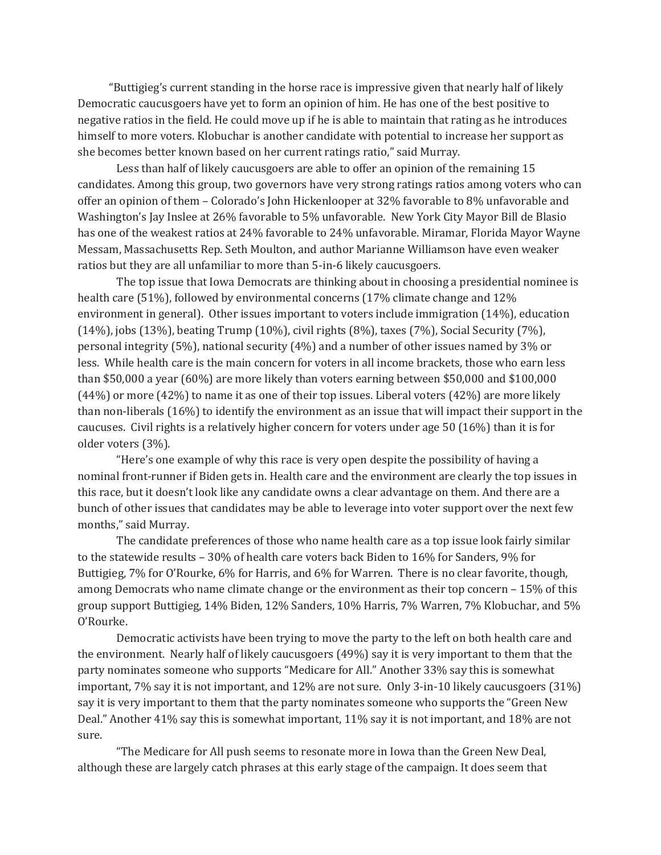"Buttigieg's current standing in the horse race is impressive given that nearly half of likely Democratic caucusgoers have yet to form an opinion of him. He has one of the best positive to negative ratios in the field. He could move up if he is able to maintain that rating as he introduces himself to more voters. Klobuchar is another candidate with potential to increase her support as she becomes better known based on her current ratings ratio," said Murray.

Less than half of likely caucusgoers are able to offer an opinion of the remaining 15 candidates. Among this group, two governors have very strong ratings ratios among voters who can offer an opinion of them – Colorado's John Hickenlooper at 32% favorable to 8% unfavorable and Washington's Jay Inslee at 26% favorable to 5% unfavorable. New York City Mayor Bill de Blasio has one of the weakest ratios at 24% favorable to 24% unfavorable. Miramar, Florida Mayor Wayne Messam, Massachusetts Rep. Seth Moulton, and author Marianne Williamson have even weaker ratios but they are all unfamiliar to more than 5-in-6 likely caucusgoers.

The top issue that Iowa Democrats are thinking about in choosing a presidential nominee is health care (51%), followed by environmental concerns (17% climate change and 12% environment in general). Other issues important to voters include immigration (14%), education (14%), jobs (13%), beating Trump (10%), civil rights (8%), taxes (7%), Social Security (7%), personal integrity (5%), national security (4%) and a number of other issues named by 3% or less. While health care is the main concern for voters in all income brackets, those who earn less than \$50,000 a year (60%) are more likely than voters earning between \$50,000 and \$100,000  $(44%)$  or more  $(42%)$  to name it as one of their top issues. Liberal voters  $(42%)$  are more likely than non-liberals (16%) to identify the environment as an issue that will impact their support in the caucuses. Civil rights is a relatively higher concern for voters under age 50 (16%) than it is for older voters (3%).

"Here's one example of why this race is very open despite the possibility of having a nominal front-runner if Biden gets in. Health care and the environment are clearly the top issues in this race, but it doesn't look like any candidate owns a clear advantage on them. And there are a bunch of other issues that candidates may be able to leverage into voter support over the next few months," said Murray.

The candidate preferences of those who name health care as a top issue look fairly similar to the statewide results – 30% of health care voters back Biden to 16% for Sanders, 9% for Buttigieg, 7% for O'Rourke, 6% for Harris, and 6% for Warren. There is no clear favorite, though, among Democrats who name climate change or the environment as their top concern – 15% of this group support Buttigieg, 14% Biden, 12% Sanders, 10% Harris, 7% Warren, 7% Klobuchar, and 5% O'Rourke.

Democratic activists have been trying to move the party to the left on both health care and the environment. Nearly half of likely caucusgoers (49%) say it is very important to them that the party nominates someone who supports "Medicare for All." Another 33% say this is somewhat important, 7% say it is not important, and 12% are not sure. Only 3-in-10 likely caucusgoers (31%) say it is very important to them that the party nominates someone who supports the "Green New Deal." Another 41% say this is somewhat important, 11% say it is not important, and 18% are not sure.

"The Medicare for All push seems to resonate more in Iowa than the Green New Deal, although these are largely catch phrases at this early stage of the campaign. It does seem that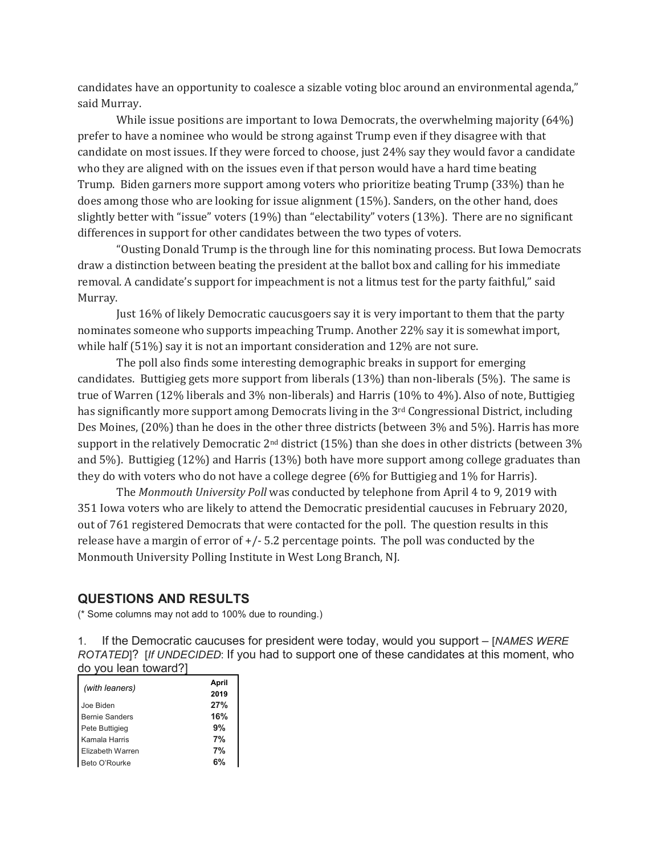candidates have an opportunity to coalesce a sizable voting bloc around an environmental agenda," said Murray.

While issue positions are important to Iowa Democrats, the overwhelming majority (64%) prefer to have a nominee who would be strong against Trump even if they disagree with that candidate on most issues. If they were forced to choose, just 24% say they would favor a candidate who they are aligned with on the issues even if that person would have a hard time beating Trump. Biden garners more support among voters who prioritize beating Trump (33%) than he does among those who are looking for issue alignment (15%). Sanders, on the other hand, does slightly better with "issue" voters (19%) than "electability" voters (13%). There are no significant differences in support for other candidates between the two types of voters.

"Ousting Donald Trump is the through line for this nominating process. But Iowa Democrats draw a distinction between beating the president at the ballot box and calling for his immediate removal. A candidate's support for impeachment is not a litmus test for the party faithful," said Murray.

Just 16% of likely Democratic caucusgoers say it is very important to them that the party nominates someone who supports impeaching Trump. Another 22% say it is somewhat import, while half (51%) say it is not an important consideration and 12% are not sure.

The poll also finds some interesting demographic breaks in support for emerging candidates. Buttigieg gets more support from liberals (13%) than non-liberals (5%). The same is true of Warren (12% liberals and 3% non-liberals) and Harris (10% to 4%). Also of note, Buttigieg has significantly more support among Democrats living in the 3<sup>rd</sup> Congressional District, including Des Moines, (20%) than he does in the other three districts (between 3% and 5%). Harris has more support in the relatively Democratic 2<sup>nd</sup> district (15%) than she does in other districts (between 3% and 5%). Buttigieg (12%) and Harris (13%) both have more support among college graduates than they do with voters who do not have a college degree (6% for Buttigieg and 1% for Harris).

The *Monmouth University Poll* was conducted by telephone from April 4 to 9, 2019 with 351 Iowa voters who are likely to attend the Democratic presidential caucuses in February 2020, out of 761 registered Democrats that were contacted for the poll. The question results in this release have a margin of error of  $+/$ - 5.2 percentage points. The poll was conducted by the Monmouth University Polling Institute in West Long Branch, NJ.

#### **QUESTIONS AND RESULTS**

(\* Some columns may not add to 100% due to rounding.)

1. If the Democratic caucuses for president were today, would you support – [*NAMES WERE ROTATED*]? [*If UNDECIDED*: If you had to support one of these candidates at this moment, who do you lean toward?]

| (with leaners)        | April |  |
|-----------------------|-------|--|
|                       | 2019  |  |
| Joe Biden             | 27%   |  |
| <b>Bernie Sanders</b> | 16%   |  |
| Pete Buttigieg        | 9%    |  |
| Kamala Harris         | 7%    |  |
| Elizabeth Warren      | 7%    |  |
| Beto O'Rourke         | 6%    |  |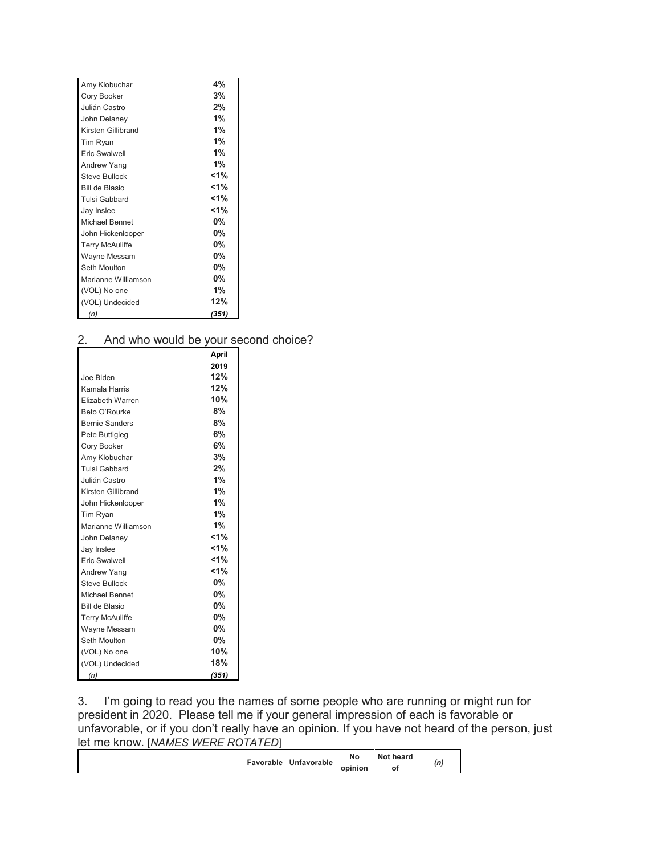| Amy Klobuchar          | 4%      |
|------------------------|---------|
| Cory Booker            | 3%      |
| Julián Castro          | 2%      |
| John Delaney           | 1%      |
| Kirsten Gillibrand     | 1%      |
| Tim Ryan               | 1%      |
| Eric Swalwell          | 1%      |
| Andrew Yang            | $1\%$   |
| <b>Steve Bullock</b>   | $< 1\%$ |
| <b>Bill de Blasio</b>  | $< 1\%$ |
| <b>Tulsi Gabbard</b>   | $< 1\%$ |
| Jay Inslee             | $< 1\%$ |
| <b>Michael Bennet</b>  | 0%      |
| John Hickenlooper      | 0%      |
| <b>Terry McAuliffe</b> | $0\%$   |
| Wayne Messam           | $0\%$   |
| Seth Moulton           | 0%      |
| Marianne Williamson    | 0%      |
| (VOL) No one           | 1%      |
| (VOL) Undecided        | 12%     |
| (n)                    | (351)   |

| And who would be your second choice?<br>2. |              |  |
|--------------------------------------------|--------------|--|
|                                            | <b>April</b> |  |
|                                            | 2019         |  |
| Joe Biden                                  | 12%          |  |
| Kamala Harris                              | 12%          |  |
| Elizabeth Warren                           | 10%          |  |
| Beto O'Rourke                              | 8%           |  |
| <b>Bernie Sanders</b>                      | 8%           |  |
| Pete Buttigieg                             | 6%           |  |
| Cory Booker                                | 6%           |  |
| Amy Klobuchar                              | 3%           |  |
| <b>Tulsi Gabbard</b>                       | 2%           |  |
| Julián Castro                              | 1%           |  |
| Kirsten Gillibrand                         | 1%           |  |
| John Hickenlooper                          | 1%           |  |
| Tim Ryan                                   | 1%           |  |
| Marianne Williamson                        | 1%           |  |
| John Delaney                               | $1\%$        |  |
| Jay Inslee                                 | $1\%$        |  |
| <b>Eric Swalwell</b>                       | $< 1\%$      |  |
| Andrew Yang                                | $< 1\%$      |  |
| <b>Steve Bullock</b>                       | $0\%$        |  |
| Michael Bennet                             | $0\%$        |  |
| Bill de Blasio                             | $0\%$        |  |
| <b>Terry McAuliffe</b>                     | $0\%$        |  |
| Wayne Messam                               | $0\%$        |  |
| Seth Moulton                               | $0\%$        |  |
| (VOL) No one                               | 10%          |  |
| (VOL) Undecided                            | 18%          |  |
| (n)                                        | (351)        |  |

3. I'm going to read you the names of some people who are running or might run for president in 2020. Please tell me if your general impression of each is favorable or unfavorable, or if you don't really have an opinion. If you have not heard of the person, just let me know. [*NAMES WERE ROTATED*]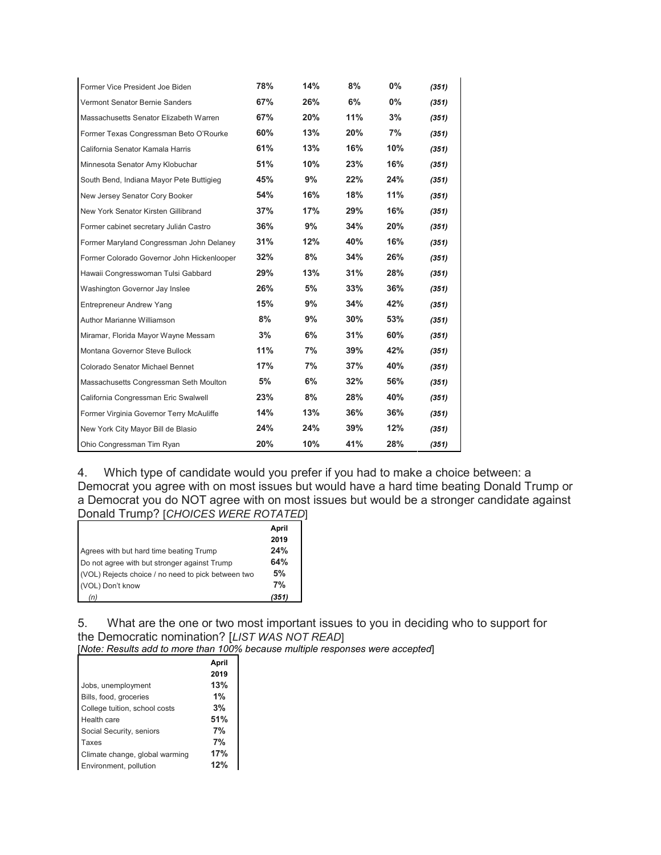| Former Vice President Joe Biden            | 78% | 14% | 8%  | $0\%$ | (351) |
|--------------------------------------------|-----|-----|-----|-------|-------|
| Vermont Senator Bernie Sanders             | 67% | 26% | 6%  | $0\%$ | (351) |
| Massachusetts Senator Elizabeth Warren     | 67% | 20% | 11% | 3%    | (351) |
| Former Texas Congressman Beto O'Rourke     | 60% | 13% | 20% | 7%    | (351) |
| California Senator Kamala Harris           | 61% | 13% | 16% | 10%   | (351) |
| Minnesota Senator Amy Klobuchar            | 51% | 10% | 23% | 16%   | (351) |
| South Bend, Indiana Mayor Pete Buttigieg   | 45% | 9%  | 22% | 24%   | (351) |
| New Jersey Senator Cory Booker             | 54% | 16% | 18% | 11%   | (351) |
| New York Senator Kirsten Gillibrand        | 37% | 17% | 29% | 16%   | (351) |
| Former cabinet secretary Julián Castro     | 36% | 9%  | 34% | 20%   | (351) |
| Former Maryland Congressman John Delaney   | 31% | 12% | 40% | 16%   | (351) |
| Former Colorado Governor John Hickenlooper | 32% | 8%  | 34% | 26%   | (351) |
| Hawaii Congresswoman Tulsi Gabbard         | 29% | 13% | 31% | 28%   | (351) |
| Washington Governor Jay Inslee             | 26% | 5%  | 33% | 36%   | (351) |
| Entrepreneur Andrew Yang                   | 15% | 9%  | 34% | 42%   | (351) |
| Author Marianne Williamson                 | 8%  | 9%  | 30% | 53%   | (351) |
| Miramar, Florida Mayor Wayne Messam        | 3%  | 6%  | 31% | 60%   | (351) |
| Montana Governor Steve Bullock             | 11% | 7%  | 39% | 42%   | (351) |
| Colorado Senator Michael Bennet            | 17% | 7%  | 37% | 40%   | (351) |
| Massachusetts Congressman Seth Moulton     | 5%  | 6%  | 32% | 56%   | (351) |
| California Congressman Eric Swalwell       | 23% | 8%  | 28% | 40%   | (351) |
| Former Virginia Governor Terry McAuliffe   | 14% | 13% | 36% | 36%   | (351) |
| New York City Mayor Bill de Blasio         | 24% | 24% | 39% | 12%   | (351) |
| Ohio Congressman Tim Ryan                  | 20% | 10% | 41% | 28%   | (351) |

4. Which type of candidate would you prefer if you had to make a choice between: a Democrat you agree with on most issues but would have a hard time beating Donald Trump or a Democrat you do NOT agree with on most issues but would be a stronger candidate against Donald Trump? [*CHOICES WERE ROTATED*]

|                                                    | April |
|----------------------------------------------------|-------|
|                                                    | 2019  |
| Agrees with but hard time beating Trump            | 24%   |
| Do not agree with but stronger against Trump       | 64%   |
| (VOL) Rejects choice / no need to pick between two | 5%    |
| (VOL) Don't know                                   | 7%    |
|                                                    | (351) |

5. What are the one or two most important issues to you in deciding who to support for the Democratic nomination? [*LIST WAS NOT READ*]

[*Note: Results add to more than 100% because multiple responses were accepted*]

|                                | April |
|--------------------------------|-------|
|                                | 2019  |
| Jobs, unemployment             | 13%   |
| Bills, food, groceries         | 1%    |
| College tuition, school costs  | 3%    |
| Health care                    | 51%   |
| Social Security, seniors       | 7%    |
| Taxes                          | 7%    |
| Climate change, global warming | 17%   |
| Environment, pollution         | 12%   |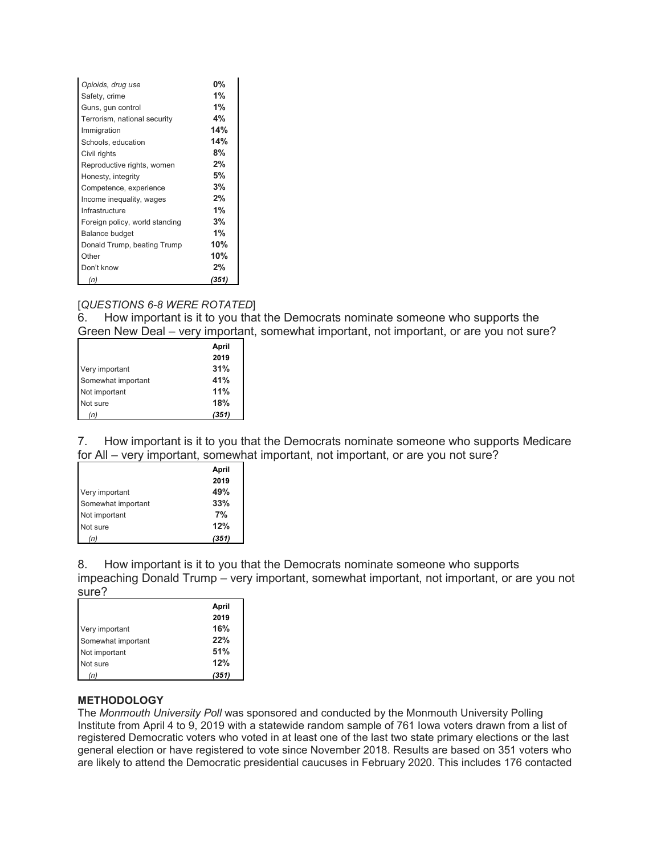| Opioids, drug use              | 0%    |
|--------------------------------|-------|
| Safety, crime                  | 1%    |
| Guns, gun control              | 1%    |
| Terrorism, national security   | 4%    |
| Immigration                    | 14%   |
| Schools, education             | 14%   |
| Civil rights                   | 8%    |
| Reproductive rights, women     | 2%    |
| Honesty, integrity             | 5%    |
| Competence, experience         | 3%    |
| Income inequality, wages       | 2%    |
| Infrastructure                 | 1%    |
| Foreign policy, world standing | 3%    |
| Balance budget                 | 1%    |
| Donald Trump, beating Trump    | 10%   |
| Other                          | 10%   |
| Don't know                     | $2\%$ |
| (n)                            | (351) |

#### [*QUESTIONS 6-8 WERE ROTATED*]

6. How important is it to you that the Democrats nominate someone who supports the Green New Deal – very important, somewhat important, not important, or are you not sure?

|                    | April |
|--------------------|-------|
|                    | 2019  |
| Very important     | 31%   |
| Somewhat important | 41%   |
| Not important      | 11%   |
| Not sure           | 18%   |
|                    | (351) |
|                    |       |

7. How important is it to you that the Democrats nominate someone who supports Medicare for All – very important, somewhat important, not important, or are you not sure?

|                    | April |
|--------------------|-------|
|                    | 2019  |
| Very important     | 49%   |
| Somewhat important | 33%   |
| Not important      | 7%    |
| Not sure           | 12%   |
|                    | (351) |

8. How important is it to you that the Democrats nominate someone who supports impeaching Donald Trump – very important, somewhat important, not important, or are you not sure?

|                    | April |
|--------------------|-------|
|                    | 2019  |
| Very important     | 16%   |
| Somewhat important | 22%   |
| Not important      | 51%   |
| Not sure           | 12%   |
| (n)                | (351) |

#### **METHODOLOGY**

The *Monmouth University Poll* was sponsored and conducted by the Monmouth University Polling Institute from April 4 to 9, 2019 with a statewide random sample of 761 Iowa voters drawn from a list of registered Democratic voters who voted in at least one of the last two state primary elections or the last general election or have registered to vote since November 2018. Results are based on 351 voters who are likely to attend the Democratic presidential caucuses in February 2020. This includes 176 contacted